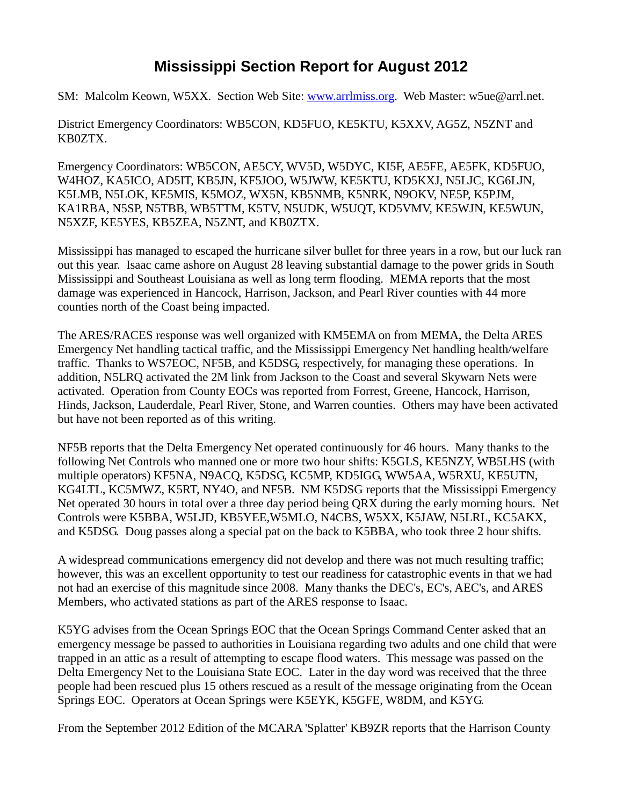## **Mississippi Section Report for August 2012**

SM: Malcolm Keown, W5XX. Section Web Site: [www.arrlmiss.org.](http://www.arrlmiss.org/) Web Master: w5ue@arrl.net.

District Emergency Coordinators: WB5CON, KD5FUO, KE5KTU, K5XXV, AG5Z, N5ZNT and KB0ZTX.

Emergency Coordinators: WB5CON, AE5CY, WV5D, W5DYC, KI5F, AE5FE, AE5FK, KD5FUO, W4HOZ, KA5ICO, AD5IT, KB5JN, KF5JOO, W5JWW, KE5KTU, KD5KXJ, N5LJC, KG6LJN, K5LMB, N5LOK, KE5MIS, K5MOZ, WX5N, KB5NMB, K5NRK, N9OKV, NE5P, K5PJM, KA1RBA, N5SP, N5TBB, WB5TTM, K5TV, N5UDK, W5UQT, KD5VMV, KE5WJN, KE5WUN, N5XZF, KE5YES, KB5ZEA, N5ZNT, and KB0ZTX.

Mississippi has managed to escaped the hurricane silver bullet for three years in a row, but our luck ran out this year. Isaac came ashore on August 28 leaving substantial damage to the power grids in South Mississippi and Southeast Louisiana as well as long term flooding. MEMA reports that the most damage was experienced in Hancock, Harrison, Jackson, and Pearl River counties with 44 more counties north of the Coast being impacted.

The ARES/RACES response was well organized with KM5EMA on from MEMA, the Delta ARES Emergency Net handling tactical traffic, and the Mississippi Emergency Net handling health/welfare traffic. Thanks to WS7EOC, NF5B, and K5DSG, respectively, for managing these operations. In addition, N5LRQ activated the 2M link from Jackson to the Coast and several Skywarn Nets were activated. Operation from County EOCs was reported from Forrest, Greene, Hancock, Harrison, Hinds, Jackson, Lauderdale, Pearl River, Stone, and Warren counties. Others may have been activated but have not been reported as of this writing.

NF5B reports that the Delta Emergency Net operated continuously for 46 hours. Many thanks to the following Net Controls who manned one or more two hour shifts: K5GLS, KE5NZY, WB5LHS (with multiple operators) KF5NA, N9ACQ, K5DSG, KC5MP, KD5IGG, WW5AA, W5RXU, KE5UTN, KG4LTL, KC5MWZ, K5RT, NY4O, and NF5B. NM K5DSG reports that the Mississippi Emergency Net operated 30 hours in total over a three day period being QRX during the early morning hours. Net Controls were K5BBA, W5LJD, KB5YEE,W5MLO, N4CBS, W5XX, K5JAW, N5LRL, KC5AKX, and K5DSG. Doug passes along a special pat on the back to K5BBA, who took three 2 hour shifts.

A widespread communications emergency did not develop and there was not much resulting traffic; however, this was an excellent opportunity to test our readiness for catastrophic events in that we had not had an exercise of this magnitude since 2008. Many thanks the DEC's, EC's, AEC's, and ARES Members, who activated stations as part of the ARES response to Isaac.

K5YG advises from the Ocean Springs EOC that the Ocean Springs Command Center asked that an emergency message be passed to authorities in Louisiana regarding two adults and one child that were trapped in an attic as a result of attempting to escape flood waters. This message was passed on the Delta Emergency Net to the Louisiana State EOC. Later in the day word was received that the three people had been rescued plus 15 others rescued as a result of the message originating from the Ocean Springs EOC. Operators at Ocean Springs were K5EYK, K5GFE, W8DM, and K5YG.

From the September 2012 Edition of the MCARA 'Splatter' KB9ZR reports that the Harrison County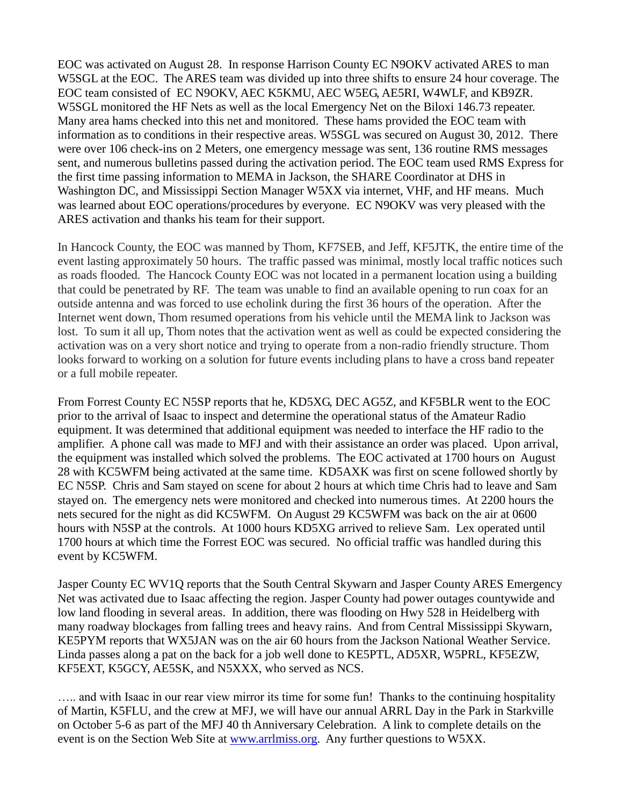EOC was activated on August 28. In response Harrison County EC N9OKV activated ARES to man W5SGL at the EOC. The ARES team was divided up into three shifts to ensure 24 hour coverage. The EOC team consisted of EC N9OKV, AEC K5KMU, AEC W5EG, AE5RI, W4WLF, and KB9ZR. W5SGL monitored the HF Nets as well as the local Emergency Net on the Biloxi 146.73 repeater. Many area hams checked into this net and monitored. These hams provided the EOC team with information as to conditions in their respective areas. W5SGL was secured on August 30, 2012. There were over 106 check-ins on 2 Meters, one emergency message was sent, 136 routine RMS messages sent, and numerous bulletins passed during the activation period. The EOC team used RMS Express for the first time passing information to MEMA in Jackson, the SHARE Coordinator at DHS in Washington DC, and Mississippi Section Manager W5XX via internet, VHF, and HF means. Much was learned about EOC operations/procedures by everyone. EC N9OKV was very pleased with the ARES activation and thanks his team for their support.

In Hancock County, the EOC was manned by Thom, KF7SEB, and Jeff, KF5JTK, the entire time of the event lasting approximately 50 hours. The traffic passed was minimal, mostly local traffic notices such as roads flooded. The Hancock County EOC was not located in a permanent location using a building that could be penetrated by RF. The team was unable to find an available opening to run coax for an outside antenna and was forced to use echolink during the first 36 hours of the operation. After the Internet went down, Thom resumed operations from his vehicle until the MEMA link to Jackson was lost. To sum it all up, Thom notes that the activation went as well as could be expected considering the activation was on a very short notice and trying to operate from a non-radio friendly structure. Thom looks forward to working on a solution for future events including plans to have a cross band repeater or a full mobile repeater.

From Forrest County EC N5SP reports that he, KD5XG, DEC AG5Z, and KF5BLR went to the EOC prior to the arrival of Isaac to inspect and determine the operational status of the Amateur Radio equipment. It was determined that additional equipment was needed to interface the HF radio to the amplifier. A phone call was made to MFJ and with their assistance an order was placed. Upon arrival, the equipment was installed which solved the problems. The EOC activated at 1700 hours on August 28 with KC5WFM being activated at the same time. KD5AXK was first on scene followed shortly by EC N5SP. Chris and Sam stayed on scene for about 2 hours at which time Chris had to leave and Sam stayed on. The emergency nets were monitored and checked into numerous times. At 2200 hours the nets secured for the night as did KC5WFM. On August 29 KC5WFM was back on the air at 0600 hours with N5SP at the controls. At 1000 hours KD5XG arrived to relieve Sam. Lex operated until 1700 hours at which time the Forrest EOC was secured. No official traffic was handled during this event by KC5WFM.

Jasper County EC WV1Q reports that the South Central Skywarn and Jasper County ARES Emergency Net was activated due to Isaac affecting the region. Jasper County had power outages countywide and low land flooding in several areas. In addition, there was flooding on Hwy 528 in Heidelberg with many roadway blockages from falling trees and heavy rains. And from Central Mississippi Skywarn, KE5PYM reports that WX5JAN was on the air 60 hours from the Jackson National Weather Service. Linda passes along a pat on the back for a job well done to KE5PTL, AD5XR, W5PRL, KF5EZW, KF5EXT, K5GCY, AE5SK, and N5XXX, who served as NCS.

….. and with Isaac in our rear view mirror its time for some fun! Thanks to the continuing hospitality of Martin, K5FLU, and the crew at MFJ, we will have our annual ARRL Day in the Park in Starkville on October 5-6 as part of the MFJ 40 th Anniversary Celebration. A link to complete details on the event is on the Section Web Site at [www.arrlmiss.org.](http://www.arrlmiss.org/) Any further questions to W5XX.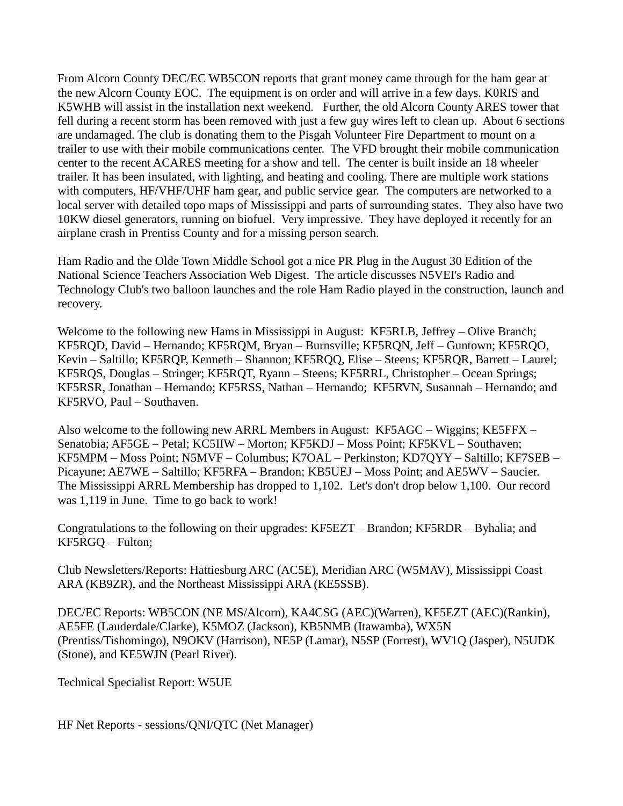From Alcorn County DEC/EC WB5CON reports that grant money came through for the ham gear at the new Alcorn County EOC. The equipment is on order and will arrive in a few days. K0RIS and K5WHB will assist in the installation next weekend. Further, the old Alcorn County ARES tower that fell during a recent storm has been removed with just a few guy wires left to clean up. About 6 sections are undamaged. The club is donating them to the Pisgah Volunteer Fire Department to mount on a trailer to use with their mobile communications center. The VFD brought their mobile communication center to the recent ACARES meeting for a show and tell. The center is built inside an 18 wheeler trailer. It has been insulated, with lighting, and heating and cooling. There are multiple work stations with computers, HF/VHF/UHF ham gear, and public service gear. The computers are networked to a local server with detailed topo maps of Mississippi and parts of surrounding states. They also have two 10KW diesel generators, running on biofuel. Very impressive. They have deployed it recently for an airplane crash in Prentiss County and for a missing person search.

Ham Radio and the Olde Town Middle School got a nice PR Plug in the August 30 Edition of the National Science Teachers Association Web Digest. The article discusses N5VEI's Radio and Technology Club's two balloon launches and the role Ham Radio played in the construction, launch and recovery.

Welcome to the following new Hams in Mississippi in August: KF5RLB, Jeffrey – Olive Branch; KF5RQD, David – Hernando; KF5RQM, Bryan – Burnsville; KF5RQN, Jeff – Guntown; KF5RQO, Kevin – Saltillo; KF5RQP, Kenneth – Shannon; KF5RQQ, Elise – Steens; KF5RQR, Barrett – Laurel; KF5RQS, Douglas – Stringer; KF5RQT, Ryann – Steens; KF5RRL, Christopher – Ocean Springs; KF5RSR, Jonathan – Hernando; KF5RSS, Nathan – Hernando; KF5RVN, Susannah – Hernando; and KF5RVO, Paul – Southaven.

Also welcome to the following new ARRL Members in August: KF5AGC – Wiggins; KE5FFX – Senatobia; AF5GE – Petal; KC5IIW – Morton; KF5KDJ – Moss Point; KF5KVL – Southaven; KF5MPM – Moss Point; N5MVF – Columbus; K7OAL – Perkinston; KD7QYY – Saltillo; KF7SEB – Picayune; AE7WE – Saltillo; KF5RFA – Brandon; KB5UEJ – Moss Point; and AE5WV – Saucier. The Mississippi ARRL Membership has dropped to 1,102. Let's don't drop below 1,100. Our record was 1,119 in June. Time to go back to work!

Congratulations to the following on their upgrades: KF5EZT – Brandon; KF5RDR – Byhalia; and KF5RGQ – Fulton;

Club Newsletters/Reports: Hattiesburg ARC (AC5E), Meridian ARC (W5MAV), Mississippi Coast ARA (KB9ZR), and the Northeast Mississippi ARA (KE5SSB).

DEC/EC Reports: WB5CON (NE MS/Alcorn), KA4CSG (AEC)(Warren), KF5EZT (AEC)(Rankin), AE5FE (Lauderdale/Clarke), K5MOZ (Jackson), KB5NMB (Itawamba), WX5N (Prentiss/Tishomingo), N9OKV (Harrison), NE5P (Lamar), N5SP (Forrest), WV1Q (Jasper), N5UDK (Stone), and KE5WJN (Pearl River).

Technical Specialist Report: W5UE

HF Net Reports - sessions/QNI/QTC (Net Manager)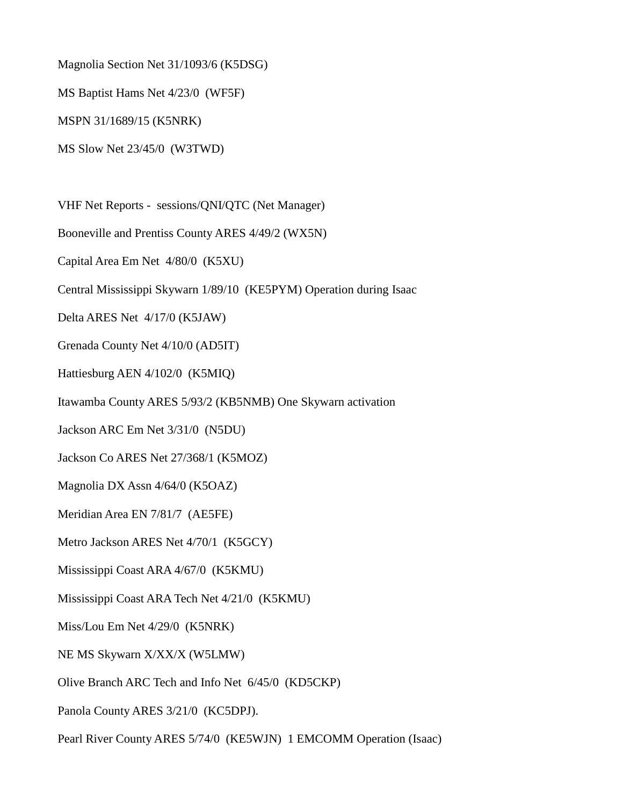Magnolia Section Net 31/1093/6 (K5DSG)

MS Baptist Hams Net 4/23/0 (WF5F)

MSPN 31/1689/15 (K5NRK)

MS Slow Net 23/45/0 (W3TWD)

VHF Net Reports - sessions/QNI/QTC (Net Manager)

Booneville and Prentiss County ARES 4/49/2 (WX5N)

Capital Area Em Net 4/80/0 (K5XU)

Central Mississippi Skywarn 1/89/10 (KE5PYM) Operation during Isaac

Delta ARES Net 4/17/0 (K5JAW)

Grenada County Net 4/10/0 (AD5IT)

Hattiesburg AEN 4/102/0 (K5MIQ)

Itawamba County ARES 5/93/2 (KB5NMB) One Skywarn activation

Jackson ARC Em Net 3/31/0 (N5DU)

Jackson Co ARES Net 27/368/1 (K5MOZ)

Magnolia DX Assn 4/64/0 (K5OAZ)

Meridian Area EN 7/81/7 (AE5FE)

Metro Jackson ARES Net 4/70/1 (K5GCY)

Mississippi Coast ARA 4/67/0 (K5KMU)

Mississippi Coast ARA Tech Net 4/21/0 (K5KMU)

Miss/Lou Em Net 4/29/0 (K5NRK)

NE MS Skywarn X/XX/X (W5LMW)

Olive Branch ARC Tech and Info Net 6/45/0 (KD5CKP)

Panola County ARES 3/21/0 (KC5DPJ).

Pearl River County ARES 5/74/0 (KE5WJN) 1 EMCOMM Operation (Isaac)